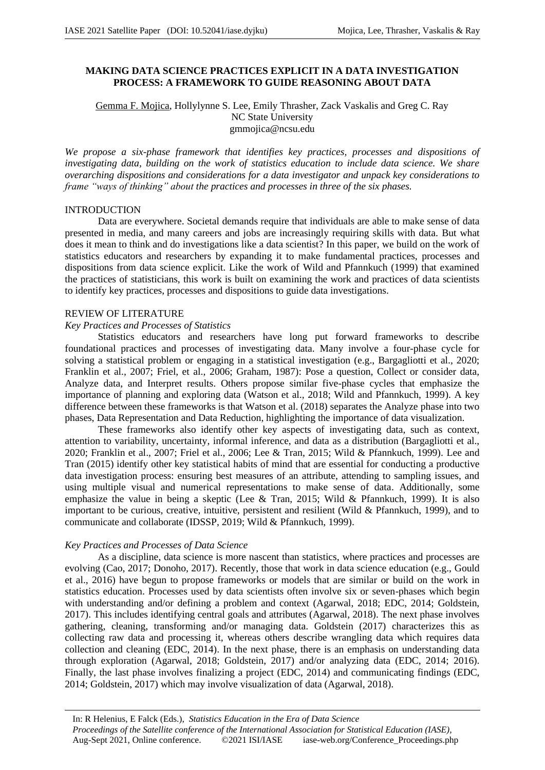## **MAKING DATA SCIENCE PRACTICES EXPLICIT IN A DATA INVESTIGATION PROCESS: A FRAMEWORK TO GUIDE REASONING ABOUT DATA**

Gemma F. Mojica, Hollylynne S. Lee, Emily Thrasher, Zack Vaskalis and Greg C. Ray NC State University gmmojica@ncsu.edu

*We propose a six-phase framework that identifies key practices, processes and dispositions of investigating data, building on the work of statistics education to include data science. We share overarching dispositions and considerations for a data investigator and unpack key considerations to frame "ways of thinking" about the practices and processes in three of the six phases.*

#### INTRODUCTION

Data are everywhere. Societal demands require that individuals are able to make sense of data presented in media, and many careers and jobs are increasingly requiring skills with data. But what does it mean to think and do investigations like a data scientist? In this paper, we build on the work of statistics educators and researchers by expanding it to make fundamental practices, processes and dispositions from data science explicit. Like the work of Wild and Pfannkuch (1999) that examined the practices of statisticians, this work is built on examining the work and practices of data scientists to identify key practices, processes and dispositions to guide data investigations.

#### REVIEW OF LITERATURE

#### *Key Practices and Processes of Statistics*

Statistics educators and researchers have long put forward frameworks to describe foundational practices and processes of investigating data. Many involve a four-phase cycle for solving a statistical problem or engaging in a statistical investigation (e.g., Bargagliotti et al., 2020; Franklin et al., 2007; Friel, et al., 2006; Graham, 1987): Pose a question, Collect or consider data, Analyze data, and Interpret results. Others propose similar five-phase cycles that emphasize the importance of planning and exploring data (Watson et al., 2018; Wild and Pfannkuch, 1999). A key difference between these frameworks is that Watson et al. (2018) separates the Analyze phase into two phases, Data Representation and Data Reduction, highlighting the importance of data visualization.

These frameworks also identify other key aspects of investigating data, such as context, attention to variability, uncertainty, informal inference, and data as a distribution (Bargagliotti et al., 2020; Franklin et al., 2007; Friel et al., 2006; Lee & Tran, 2015; Wild & Pfannkuch, 1999). Lee and Tran (2015) identify other key statistical habits of mind that are essential for conducting a productive data investigation process: ensuring best measures of an attribute, attending to sampling issues, and using multiple visual and numerical representations to make sense of data. Additionally, some emphasize the value in being a skeptic (Lee & Tran, 2015; Wild & Pfannkuch, 1999). It is also important to be curious, creative, intuitive, persistent and resilient (Wild & Pfannkuch, 1999), and to communicate and collaborate (IDSSP, 2019; Wild & Pfannkuch, 1999).

## *Key Practices and Processes of Data Science*

As a discipline, data science is more nascent than statistics, where practices and processes are evolving (Cao, 2017; Donoho, 2017). Recently, those that work in data science education (e.g., Gould et al., 2016) have begun to propose frameworks or models that are similar or build on the work in statistics education. Processes used by data scientists often involve six or seven-phases which begin with understanding and/or defining a problem and context (Agarwal, 2018; EDC, 2014; Goldstein, 2017). This includes identifying central goals and attributes (Agarwal, 2018). The next phase involves gathering, cleaning, transforming and/or managing data. Goldstein (2017) characterizes this as collecting raw data and processing it, whereas others describe wrangling data which requires data collection and cleaning (EDC, 2014). In the next phase, there is an emphasis on understanding data through exploration (Agarwal, 2018; Goldstein, 2017) and/or analyzing data (EDC, 2014; 2016). Finally, the last phase involves finalizing a project (EDC, 2014) and communicating findings (EDC, 2014; Goldstein, 2017) which may involve visualization of data (Agarwal, 2018).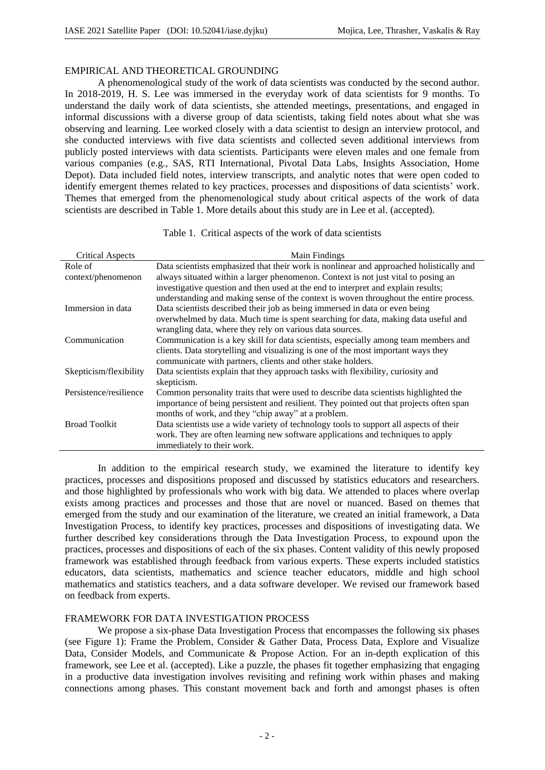## EMPIRICAL AND THEORETICAL GROUNDING

A phenomenological study of the work of data scientists was conducted by the second author. In 2018-2019, H. S. Lee was immersed in the everyday work of data scientists for 9 months. To understand the daily work of data scientists, she attended meetings, presentations, and engaged in informal discussions with a diverse group of data scientists, taking field notes about what she was observing and learning. Lee worked closely with a data scientist to design an interview protocol, and she conducted interviews with five data scientists and collected seven additional interviews from publicly posted interviews with data scientists. Participants were eleven males and one female from various companies (e.g., SAS, RTI International, Pivotal Data Labs, Insights Association, Home Depot). Data included field notes, interview transcripts, and analytic notes that were open coded to identify emergent themes related to key practices, processes and dispositions of data scientists' work. Themes that emerged from the phenomenological study about critical aspects of the work of data scientists are described in Table 1. More details about this study are in Lee et al. (accepted).

|  |  |  |  |  |  |  | Table 1. Critical aspects of the work of data scientists |
|--|--|--|--|--|--|--|----------------------------------------------------------|
|--|--|--|--|--|--|--|----------------------------------------------------------|

| <b>Critical Aspects</b> | Main Findings                                                                           |
|-------------------------|-----------------------------------------------------------------------------------------|
| Role of                 | Data scientists emphasized that their work is nonlinear and approached holistically and |
| context/phenomenon      | always situated within a larger phenomenon. Context is not just vital to posing an      |
|                         | investigative question and then used at the end to interpret and explain results;       |
|                         | understanding and making sense of the context is woven throughout the entire process.   |
| Immersion in data       | Data scientists described their job as being immersed in data or even being             |
|                         | overwhelmed by data. Much time is spent searching for data, making data useful and      |
|                         | wrangling data, where they rely on various data sources.                                |
| Communication           | Communication is a key skill for data scientists, especially among team members and     |
|                         | clients. Data storytelling and visualizing is one of the most important ways they       |
|                         | communicate with partners, clients and other stake holders.                             |
| Skepticism/flexibility  | Data scientists explain that they approach tasks with flexibility, curiosity and        |
|                         | skepticism.                                                                             |
| Persistence/resilience  | Common personality traits that were used to describe data scientists highlighted the    |
|                         | importance of being persistent and resilient. They pointed out that projects often span |
|                         | months of work, and they "chip away" at a problem.                                      |
| <b>Broad Toolkit</b>    | Data scientists use a wide variety of technology tools to support all aspects of their  |
|                         | work. They are often learning new software applications and techniques to apply         |
|                         | immediately to their work.                                                              |

In addition to the empirical research study, we examined the literature to identify key practices, processes and dispositions proposed and discussed by statistics educators and researchers. and those highlighted by professionals who work with big data. We attended to places where overlap exists among practices and processes and those that are novel or nuanced. Based on themes that emerged from the study and our examination of the literature, we created an initial framework, a Data Investigation Process, to identify key practices, processes and dispositions of investigating data. We further described key considerations through the Data Investigation Process, to expound upon the practices, processes and dispositions of each of the six phases. Content validity of this newly proposed framework was established through feedback from various experts. These experts included statistics educators, data scientists, mathematics and science teacher educators, middle and high school mathematics and statistics teachers, and a data software developer. We revised our framework based on feedback from experts.

## FRAMEWORK FOR DATA INVESTIGATION PROCESS

We propose a six-phase Data Investigation Process that encompasses the following six phases (see Figure 1): Frame the Problem, Consider & Gather Data, Process Data, Explore and Visualize Data, Consider Models, and Communicate & Propose Action. For an in-depth explication of this framework, see Lee et al. (accepted). Like a puzzle, the phases fit together emphasizing that engaging in a productive data investigation involves revisiting and refining work within phases and making connections among phases. This constant movement back and forth and amongst phases is often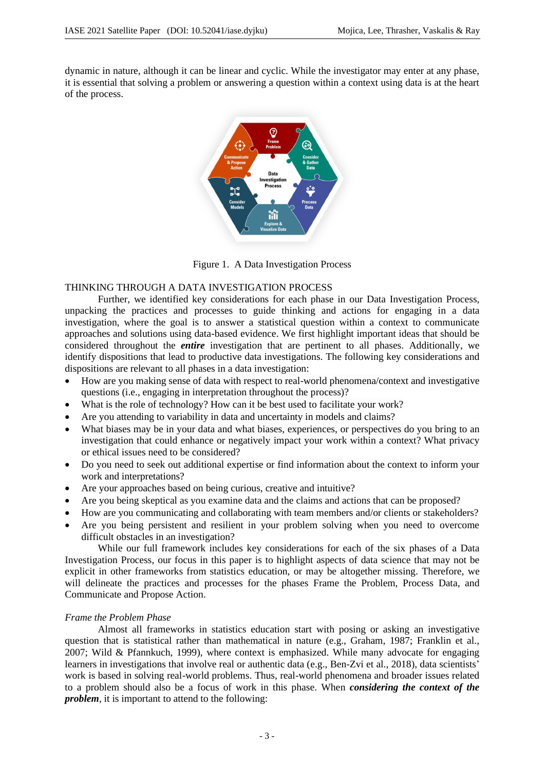dynamic in nature, although it can be linear and cyclic. While the investigator may enter at any phase, it is essential that solving a problem or answering a question within a context using data is at the heart of the process.



Figure 1. A Data Investigation Process

# THINKING THROUGH A DATA INVESTIGATION PROCESS

Further, we identified key considerations for each phase in our Data Investigation Process, unpacking the practices and processes to guide thinking and actions for engaging in a data investigation, where the goal is to answer a statistical question within a context to communicate approaches and solutions using data-based evidence. We first highlight important ideas that should be considered throughout the *entire* investigation that are pertinent to all phases. Additionally, we identify dispositions that lead to productive data investigations. The following key considerations and dispositions are relevant to all phases in a data investigation:

- How are you making sense of data with respect to real-world phenomena/context and investigative questions (i.e., engaging in interpretation throughout the process)?
- What is the role of technology? How can it be best used to facilitate your work?
- Are you attending to variability in data and uncertainty in models and claims?
- What biases may be in your data and what biases, experiences, or perspectives do you bring to an investigation that could enhance or negatively impact your work within a context? What privacy or ethical issues need to be considered?
- Do you need to seek out additional expertise or find information about the context to inform your work and interpretations?
- Are your approaches based on being curious, creative and intuitive?
- Are you being skeptical as you examine data and the claims and actions that can be proposed?
- How are you communicating and collaborating with team members and/or clients or stakeholders?
- Are you being persistent and resilient in your problem solving when you need to overcome difficult obstacles in an investigation?

While our full framework includes key considerations for each of the six phases of a Data Investigation Process, our focus in this paper is to highlight aspects of data science that may not be explicit in other frameworks from statistics education, or may be altogether missing. Therefore, we will delineate the practices and processes for the phases Frame the Problem, Process Data, and Communicate and Propose Action.

## *Frame the Problem Phase*

Almost all frameworks in statistics education start with posing or asking an investigative question that is statistical rather than mathematical in nature (e.g., Graham, 1987; Franklin et al., 2007; Wild & Pfannkuch, 1999), where context is emphasized. While many advocate for engaging learners in investigations that involve real or authentic data (e.g., Ben-Zvi et al., 2018), data scientists' work is based in solving real-world problems. Thus, real-world phenomena and broader issues related to a problem should also be a focus of work in this phase. When *considering the context of the problem*, it is important to attend to the following: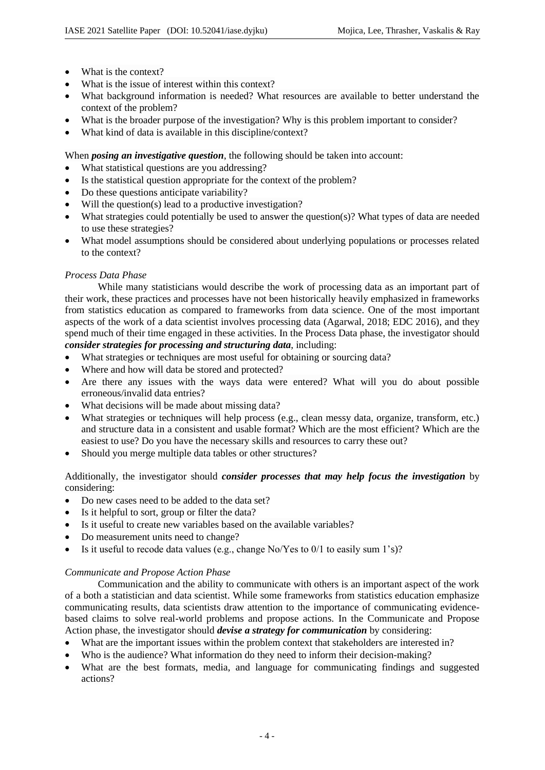- What is the context?
- What is the issue of interest within this context?
- What background information is needed? What resources are available to better understand the context of the problem?
- What is the broader purpose of the investigation? Why is this problem important to consider?
- What kind of data is available in this discipline/context?

# When *posing an investigative question*, the following should be taken into account:

- What statistical questions are you addressing?
- Is the statistical question appropriate for the context of the problem?
- Do these questions anticipate variability?
- Will the question(s) lead to a productive investigation?
- What strategies could potentially be used to answer the question(s)? What types of data are needed to use these strategies?
- What model assumptions should be considered about underlying populations or processes related to the context?

# *Process Data Phase*

While many statisticians would describe the work of processing data as an important part of their work, these practices and processes have not been historically heavily emphasized in frameworks from statistics education as compared to frameworks from data science. One of the most important aspects of the work of a data scientist involves processing data (Agarwal, 2018; EDC 2016), and they spend much of their time engaged in these activities. In the Process Data phase, the investigator should *consider strategies for processing and structuring data*, including:

- What strategies or techniques are most useful for obtaining or sourcing data?
- Where and how will data be stored and protected?
- Are there any issues with the ways data were entered? What will you do about possible erroneous/invalid data entries?
- What decisions will be made about missing data?
- What strategies or techniques will help process (e.g., clean messy data, organize, transform, etc.) and structure data in a consistent and usable format? Which are the most efficient? Which are the easiest to use? Do you have the necessary skills and resources to carry these out?
- Should you merge multiple data tables or other structures?

Additionally, the investigator should *consider processes that may help focus the investigation* by considering:

- Do new cases need to be added to the data set?
- Is it helpful to sort, group or filter the data?
- Is it useful to create new variables based on the available variables?
- Do measurement units need to change?
- Is it useful to recode data values (e.g., change No/Yes to 0/1 to easily sum 1's)?

## *Communicate and Propose Action Phase*

Communication and the ability to communicate with others is an important aspect of the work of a both a statistician and data scientist. While some frameworks from statistics education emphasize communicating results, data scientists draw attention to the importance of communicating evidencebased claims to solve real-world problems and propose actions. In the Communicate and Propose Action phase, the investigator should *devise a strategy for communication* by considering:

- What are the important issues within the problem context that stakeholders are interested in?
- Who is the audience? What information do they need to inform their decision-making?
- What are the best formats, media, and language for communicating findings and suggested actions?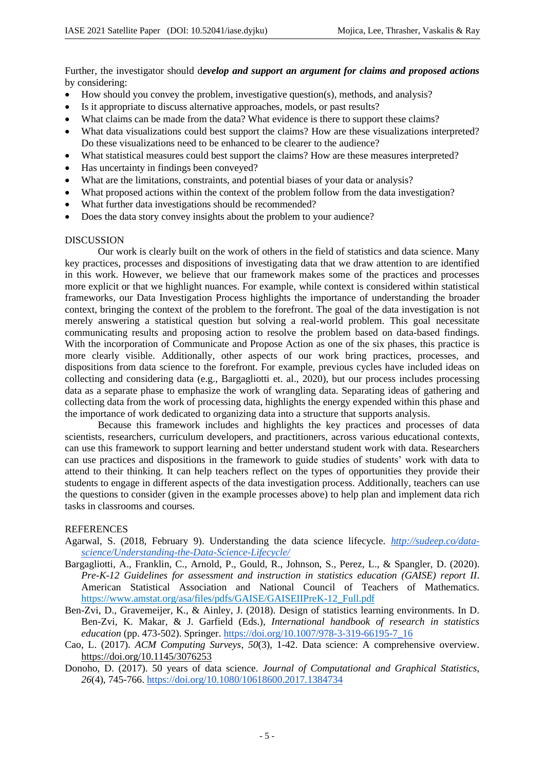Further, the investigator should d*evelop and support an argument for claims and proposed actions* by considering:

- How should you convey the problem, investigative question(s), methods, and analysis?
- Is it appropriate to discuss alternative approaches, models, or past results?
- What claims can be made from the data? What evidence is there to support these claims?
- What data visualizations could best support the claims? How are these visualizations interpreted? Do these visualizations need to be enhanced to be clearer to the audience?
- What statistical measures could best support the claims? How are these measures interpreted?
- Has uncertainty in findings been conveyed?
- What are the limitations, constraints, and potential biases of your data or analysis?
- What proposed actions within the context of the problem follow from the data investigation?
- What further data investigations should be recommended?
- Does the data story convey insights about the problem to your audience?

#### DISCUSSION

Our work is clearly built on the work of others in the field of statistics and data science. Many key practices, processes and dispositions of investigating data that we draw attention to are identified in this work. However, we believe that our framework makes some of the practices and processes more explicit or that we highlight nuances. For example, while context is considered within statistical frameworks, our Data Investigation Process highlights the importance of understanding the broader context, bringing the context of the problem to the forefront. The goal of the data investigation is not merely answering a statistical question but solving a real-world problem. This goal necessitate communicating results and proposing action to resolve the problem based on data-based findings. With the incorporation of Communicate and Propose Action as one of the six phases, this practice is more clearly visible. Additionally, other aspects of our work bring practices, processes, and dispositions from data science to the forefront. For example, previous cycles have included ideas on collecting and considering data (e.g., Bargagliotti et. al., 2020), but our process includes processing data as a separate phase to emphasize the work of wrangling data. Separating ideas of gathering and collecting data from the work of processing data, highlights the energy expended within this phase and the importance of work dedicated to organizing data into a structure that supports analysis.

Because this framework includes and highlights the key practices and processes of data scientists, researchers, curriculum developers, and practitioners, across various educational contexts, can use this framework to support learning and better understand student work with data. Researchers can use practices and dispositions in the framework to guide studies of students' work with data to attend to their thinking. It can help teachers reflect on the types of opportunities they provide their students to engage in different aspects of the data investigation process. Additionally, teachers can use the questions to consider (given in the example processes above) to help plan and implement data rich tasks in classrooms and courses.

#### **REFERENCES**

- Agarwal, S. (2018, February 9). Understanding the data science lifecycle. *http://sudeep.co/datascience/Understanding-the-Data-Science-Lifecycle/*
- Bargagliotti, A., Franklin, C., Arnold, P., Gould, R., Johnson, S., Perez, L., & Spangler, D. (2020). *Pre-K-12 Guidelines for assessment and instruction in statistics education (GAISE) report II*. American Statistical Association and National Council of Teachers of Mathematics. https://www.amstat.org/asa/files/pdfs/GAISE/GAISEIIPreK-12\_Full.pdf
- Ben-Zvi, D., Gravemeijer, K., & Ainley, J. (2018). Design of statistics learning environments. In D. Ben-Zvi, K. Makar, & J. Garfield (Eds.), *International handbook of research in statistics education* (pp. 473-502). Springer. https://doi.org/10.1007/978-3-319-66195-7\_16
- Cao, L. (2017). *ACM Computing Surveys*, *50*(3), 1-42. Data science: A comprehensive overview. https://doi.org/10.1145/3076253
- Donoho, D. (2017). 50 years of data science. *Journal of Computational and Graphical Statistics*, *26*(4), 745-766. https://doi.org/10.1080/10618600.2017.1384734